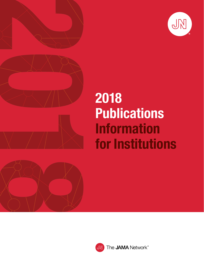



# 2018 Publications Information for Institutions



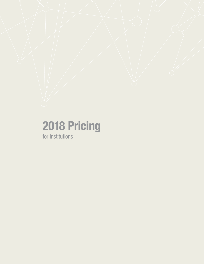# 2018 Pricing

for Institutions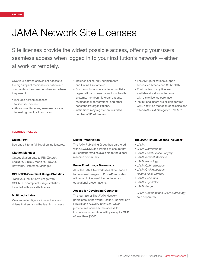### JAMA Network Site Licenses

Site licenses provide the widest possible access, offering your users seamless access when logged in to your institution's network—either at work or remotely.

Give your patrons convenient access to the high-impact medical information and commentary they need —when and where they need it.

- Includes perpetual access to licensed content.
- Allows simultaneous, seamless access to leading medical information.
- Includes online-only supplements and Online First articles.
- Custom solutions available for multisite organizations, consortia, national health systems, membership organizations, multinational corporations, and other nonstandard organizations.
- Institutions may register an unlimited number of IP addresses.
- The AMA publications support access via Athens and Shibboleth.
- Print copies of any title are available at a discounted rate with a site license purchase.
- Institutional users are eligible for free CME activities that span specialties and offer *AMA PRA Category 1 Credit*™.

#### FEATURES INCLUDE

#### Online First

See page 7 for a full list of online features.

#### Citation Manager

Output citation data to RIS (Zotero), EndNote, BibTex, Medlars, ProCite, RefWorks, Reference Manager.

#### COUNTER-Compliant Usage Statistics

Track your institution's usage with COUNTER-compliant usage statistics, included with your site license.

#### Multimedia Index

View animated figures, interactives, and videos that enhance the learning process.

#### Digital Preservation

The AMA Publishing Group has partnered with CLOCKSS and Portico to ensure that our content remains available to the global research community.

#### PowerPoint Image Downloads

All of the JAMA Network sites allow readers to download images to PowerPoint slides with one click—useful for lectures and educational presentations.

#### Access for Developing Countries

The journals of The JAMA Network participate in the World Health Organization's HINARI and AGORA initiatives, which provide free or nearly free access for institutions in countries with per-capita GNP of less than \$3000.

#### The JAMA+9 Site License Includes:\*

- *• JAMA*
- *• JAMA Dermatology*
- *• JAMA Facial Plastic Surgery*
- *• JAMA Internal Medicine*
- *• JAMA Neurology*
- *• JAMA Ophthalmology*
- *• JAMA Otolaryngology— Head & Nec*k *Surgery*
- *• JAMA Pediatrics*
- *• JAMA Psychiatry*
- *JAMA Surgery*
- \* *JAMA Oncology* and *JAMA Cardiology* sold separately.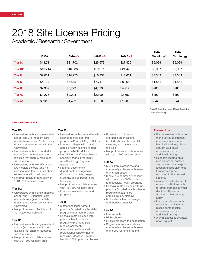## 2018 Site License Pricing

Academic /Research /Government

|                | <b>JAMA</b> | $JAMA + 3$ | $JAMA + 6$ | $JAMA + 9$ | <b>JAMA</b><br>Oncology* | <b>JAMA</b><br>Cardiology* |
|----------------|-------------|------------|------------|------------|--------------------------|----------------------------|
| <b>Tier D3</b> | \$13,711    | \$21,702   | \$25,579   | \$27,420   | \$5,029                  | \$5,029                    |
| <b>Tier D2</b> | \$10,714    | \$16,938   | \$19,971   | \$21,428   | \$3,967                  | \$3,967                    |
| <b>Tier D1</b> | \$9,031     | \$14,273   | \$16,838   | \$18,061   | \$3,343                  | \$3,343                    |
| <b>Tier C</b>  | \$4,134     | \$6,545    | \$7,717    | \$8,268    | \$1,561                  | \$1,561                    |
| <b>Tier B</b>  | \$2,359     | \$3,729    | \$4,399    | \$4,717    | \$908                    | \$908                      |
| <b>Tier A2</b> | \$1,275     | \$2,008    | \$2,390    | \$2,550    | \$490                    | \$490                      |
| <b>Tier A1</b> | \$892       | \$1,402    | \$1,658    | \$1,785    | \$344                    | \$344                      |

*\**JAMA Oncology *and* JAMA Cardiology *sold separately.*

#### TIER DESCRIPTIONS

#### Tier D3

- Universities with a single medical school and 3-5 inpatient care medical centers and/or hospitals (that share e-resources with the University)
- Universities with a DO and MD school (and no inpatient care facilities that share e-resources with the library)
- Universities with two MD or two DO medical schools (and no inpatient care facilities that share e-resources with the library)
- Nonprofit research facilities with 1201-2000 research staff

#### Tier D2

- Universities with a single medical school and 1-2 inpatient care medical center(s) or hospitals (that share e-resources with the University)
- Nonprofit research facilities with 801-1200 research staff

#### Tier D1

- Universities with a single medical school (and no inpatient care facilities that share e-resources with the library)
- Nonprofit research laboratories with 301-800 research staff

#### Tier C

- Universities with practical health science related doctoral programs (PharmD, PsyD, DHSc)
- Masters colleges with practical/ applied health science related programs (MSN, MHSc)
- Non University affiliated Health specialty school (Pharmacy, Anesthesiology, Physician assistance)
- National government departments and agencies (Excludes hospitals, hospital systems, and all patient care facilities)
- Nonprofit research laboratories with 101-300 research staff • Post baccalaureate pre med
- programs

#### Tier B

- Masters colleges without practical/applied health-related programs (nutrition, biology)
- Baccalaureate colleges with practical health science programs (pre med, BSN, medical assistant)
- Alternative health related professional schools (Eastern Medicine, Massage Therapy, Nutrition, Chiropractic colleges)
- Private foundations and charitable organizations (excludes hospitals, hospital systems, and patient care facilities)
- Nonprofit research laboratories with up to 100 research staff

#### Tier A2

- Multicampus associate and community colleges with fewer than 5 campuses
- Single-site community college with more than 5000 students and specialty health programs
- Baccalaureate colleges with no practical/applied health science programs (health care administration, biology)
- Multinational law, brokerage, and media companies

#### Tier A1

- Law schools
- High schools
- Public libraries with one location
- Single-campus associate and community colleges with fewer than 5000 full-time students

#### Please Note

- For universities with more than 5 affiliated inpatient care medical center or hospital locations, please contact your sales representative for additional pricing.
- Hospitals located on a medical school campus are counted as a hospital location unless electronic IP access can be restricted to the university site only.
- Academic institutions with research affiliations with for-profit companies must disclose affiliations. Additional charges may apply.
- For public libraries with more than one location, please contact sales representative for additional pricing.
- Alumni access is available upon request.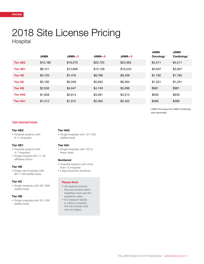# 2018 Site License Pricing

Hospital

|                 | <b>JAMA</b> | $JAMA + 3$ | $JAMA + 6$ | $JAMA + 9$ | <b>JAMA</b><br>Oncology* | <b>JAMA</b><br>Cardiology* |
|-----------------|-------------|------------|------------|------------|--------------------------|----------------------------|
| <b>Tier HE2</b> | \$12,182    | \$19,270   | \$22,725   | \$24.363   | \$4,511                  | \$4,511                    |
| <b>Tier HE1</b> | \$8,121     | \$12,858   | \$15,139   | \$16,243   | \$3,007                  | \$3,007                    |
| <b>Tier HD</b>  | \$4,720     | \$7,476    | \$8,786    | \$9,439    | \$1,782                  | \$1,782                    |
| <b>Tier HC</b>  | \$3,182     | \$5,039    | \$5,933    | \$6.364    | \$1,201                  | \$1,201                    |
| <b>Tier HB</b>  | \$2,550     | \$4,047    | \$4,749    | \$5,099    | \$981                    | \$981                      |
| <b>Tier HA2</b> | \$1,658     | \$2.614    | \$3,091    | \$3,314    | \$639                    | \$639                      |
| <b>Tier HA1</b> | \$1,212     | \$1,912    | \$2,262    | \$2,422    | \$466                    | \$466                      |

*\**JAMA Oncology *and* JAMA Cardiology *sold separately.*

#### TIER DESCRIPTIONS

#### Tier HE2

• Hospital systems with 8-11 hospitals

#### Tier HE1

- Hospital systems with 4-7 hospitals
- Single hospital with 11-20 affiliated clinics

#### Tier HD

• Single-site hospitals with 801-1100 staffed beds

#### Tier HC

• Single hospitals with 501-800 staffed beds

#### Tier HB

• Single hospitals with 251-500 staffed beds

#### Tier HA2

• Single hospitals with 121-250 staffed beds

#### Tier HA1

• Single hospitals with 120 or fewer beds

#### Nontiered

- Hospital systems with more than 12 hospitals
- Large physician practices

#### Please Note

- All medical schools that are located within hospitals must use the academic rates.
- If a research facility is within a hospital, the site license cost may be higher.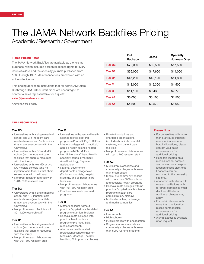## The JAMA Network Backfiles Pricing

Academic /Research /Government

#### Tiered Pricing Rates

The JAMA Network Backfiles are available as a one-time purchase, which includes perpetual access rights to every issue of *JAMA* and the specialty journals published from 1883 through 1997. Maintenance fees are waived with an active site license.

This pricing applies to institutions that fall within AMA tiers D3 through HA1. Other institutions are encouraged to contact a sales representative for a quote: sales@jamanetwork.com.

*All prices in US dollars.*

|  |                | .<br>Package | <b>JAMA</b> | opcolaity<br><b>Journals Only</b> |
|--|----------------|--------------|-------------|-----------------------------------|
|  | <b>Tier D3</b> | \$70,000     | \$59,500    | \$17,500                          |
|  | <b>Tier D2</b> | \$56,000     | \$47,600    | \$14,000                          |
|  | <b>Tier D1</b> | \$47,200     | \$40,120    | \$11,800                          |
|  | <b>Tier C</b>  | \$18,000     | \$15,300    | \$4,500                           |
|  | <b>Tier B</b>  | \$11,100     | \$9,435     | \$2,775                           |
|  | <b>Tier A2</b> | \$6,000      | \$5,100     | \$1,500                           |
|  | <b>Tier A1</b> | \$4,200      | \$3,570     | \$1,050                           |
|  |                |              |             |                                   |

Full

#### TIER DESCRIPTIONS

#### Tier D3

- Universities with a single medical school and 3-5 inpatient care medical centers and/or hospitals (that share e-resources with the University)
- Universities with a DO and MD school (and no inpatient care facilities that share e-resources with the library)
- Universities with two MD or two DO medical schools (and no inpatient care facilities that share e-resources with the library)
- Nonprofit research facilities with 1201-2000 research staff

#### Tier D2

- Universities with a single medical school and 1-2 inpatient care medical center(s) or hospitals (that share e-resources with the University)
- Nonprofit research facilities with 801-1200 research staff

#### Tier D1

- Universities with a single medical school (and no inpatient care facilities that share e-resources with the library)
- Nonprofit research laboratories with 301-800 research staff

#### Tier C

- Universities with practical health science related doctoral programs (PharmD, PsyD, DHSc)
- Masters colleges with practical/ applied health science related programs (MSN, MHSc)
- Non University affiliated Health specialty school (Pharmacy, Anesthesiology, Physician assistance)
- National government departments and agencies (Excludes hospitals, hospital systems, and all patient care facilities)
- Nonprofit research laboratories with 101-300 research staff • Post baccalaureate pre med
- programs

#### Tier B

- Masters colleges without practical/applied health-related programs (nutrition, biology)
- Baccalaureate colleges with practical health science programs (pre med, BSN, medical assistant)
- Alternative health related professional schools (Eastern Medicine, Massage Therapy, Nutrition, Chiropractic colleges)
- Private foundations and charitable organizations (excludes hospitals, hospital systems, and patient care facilities)
- Nonprofit research laboratories with up to 100 research staff

#### Tier A2

- Multicampus associate and community colleges with fewer than 5 campuses
- Single-site community college with more than 5000 students and specialty health programs
- Baccalaureate colleges with no practical/applied health science programs (health care administration, biology)
- Multinational law, brokerage, and media companies

#### Tier A1

- Law schools
- High schools
- Public libraries with one location
- Single-campus associate and community colleges with fewer than 5000 full-time students

#### Please Note

• For universities with more than 5 affiliated inpatient care medical center or hospital locations, please contact your sales representative for additional pricing.

Specialty

- Hospitals located on a medical school campus are counted as a hospital location unless electronic IP access can be restricted to the university site only.
- Academic institutions with research affiliations with for-profit companies must disclose affiliations. Additional charges may apply.
- For public libraries with more than one location, please contact sales representative for additional pricing.
- Alumni access is available upon request.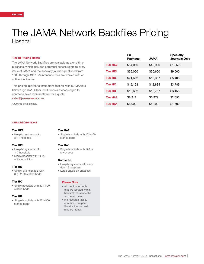### The JAMA Network Backfiles Pricing Hospital

#### Tiered Pricing Rates

The JAMA Network Backfiles are available as a one-time purchase, which includes perpetual access rights to every issue of *JAMA* and the specialty journals published from 1883 through 1997. Maintenance fees are waived with an active site license.

This pricing applies to institutions that fall within AMA tiers D3 through HA1. Other institutions are encouraged to contact a sales representative for a quote: sales@jamanetwork.com.

*All prices in US dollars.*

#### TIER DESCRIPTIONS

#### Tier HE2

• Hospital systems with 8-11 hospitals

#### Tier HE1

- Hospital systems with 4-7 hospitals
- Single hospital with 11-20 affiliated clinics

#### Tier HD

• Single-site hospitals with 801-1100 staffed beds

#### Tier HC

• Single hospitals with 501-800 staffed beds

#### Tier HB

• Single hospitals with 251-500 staffed beds

#### Tier HA2

• Single hospitals with 121-250 staffed beds

#### Tier HA1

• Single hospitals with 120 or fewer beds

#### Nontiered

- Hospital systems with more than 12 hospitals
- Large physician practices

#### Please Note

- All medical schools that are located within hospitals must use the academic rates.
- If a research facility is within a hospital, the site license cost may be higher.

|                 | Full<br>Package | <b>AMAL</b> | <b>Specialty</b><br><b>Journals Only</b> |
|-----------------|-----------------|-------------|------------------------------------------|
| <b>Tier HE2</b> | \$54,000        | \$45,900    | \$13,500                                 |
| <b>Tier HE1</b> | \$36,000        | \$30,600    | \$9,000                                  |
| <b>Tier HD</b>  | \$21,632        | \$18,387    | \$5,408                                  |
| <b>Tier HC</b>  | \$15,158        | \$12,884    | \$3,789                                  |
| <b>Tier HB</b>  | \$12,632        | \$10,737    | \$3,158                                  |
| <b>Tier HA2</b> | \$8.211         | \$6.979     | \$2.053                                  |
| <b>Tier HA1</b> | \$6,000         | \$5,100     | \$1,500                                  |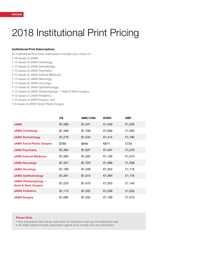### 2018 Institutional Print Pricing

#### Institutional Print Subscriptions

An Institutional Print Only subscription includes your choice of:

- 48 issues of *JAMA*;
- 12 issues of *JAMA Cardiology*;
- 12 issues of *JAMA Dermatology*;
- 12 issues of *JAMA Psychiatry*;
- 12 issues of *JAMA Internal Medicine*;
- 12 issues of *JAMA Neurology*;
- 12 issues of *JAMA Oncology*;
- 12 issues of *JAMA Ophthalmology*;
- 12 issues of *JAMA Otolaryngology —Head & Neck Surgery*;
- 12 issues of *JAMA Pediatrics*;
- 12 issues of *JAMA Surgery*; and
- 6 issues of *JAMA Facial Plastic Surgery*.

|                                                               | <b>US</b> | AMS/CAN | <b>EURO</b> | <b>GBP</b> |
|---------------------------------------------------------------|-----------|---------|-------------|------------|
| <b>JAMA</b>                                                   | \$1,289   | \$1,547 | €1,429      | £1,200     |
| <b>JAMA Cardiology</b>                                        | \$1,499   | \$1,799 | €1,656      | £1,395     |
| <b>JAMA Dermatology</b>                                       | \$1,278   | \$1,534 | €1,412      | £1,190     |
| <b>JAMA Facial Plastic Surgery</b>                            | \$788     | \$946   | €871        | £734       |
| <b>JAMA Psychiatry</b>                                        | \$1,364   | \$1,637 | €1,507      | £1,270     |
| <b>JAMA Internal Medicine</b>                                 | \$1,085   | \$1,302 | €1,190      | £1,010     |
| <b>JAMA Neurology</b>                                         | \$1,437   | \$1,725 | €1,588      | £1,338     |
| <b>JAMA Oncology</b>                                          | \$1,199   | \$1,439 | €1,324      | £1,116     |
| <b>JAMA Ophthalmology</b>                                     | \$1,261   | \$1,514 | €1,394      | £1,175     |
| <b>JAMA Otolaryngology-</b><br><b>Head &amp; Neck Surgery</b> | \$1,225   | \$1,470 | €1,353      | £1,140     |
| <b>JAMA Pediatrics</b>                                        | \$1,110   | \$1,332 | €1,226      | £1,033     |
| <b>JAMA Surgery</b>                                           | \$1,085   | \$1,302 | €1,199      | £1,010     |

#### Please Note

• Any subscription that will be used within an institution must pay the institutional rate.

• All orders placed through subscription agents must include end-user information.